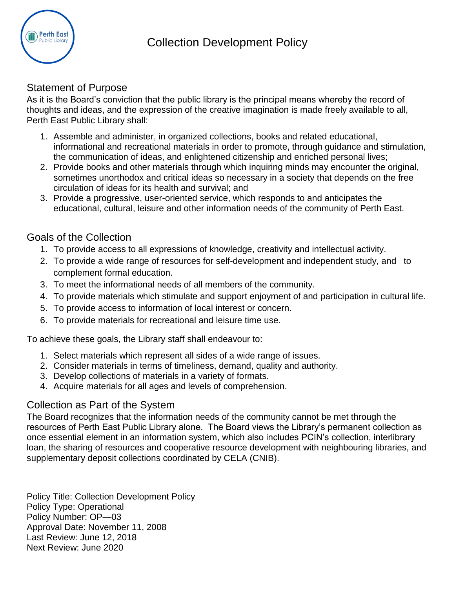

### Statement of Purpose

As it is the Board's conviction that the public library is the principal means whereby the record of thoughts and ideas, and the expression of the creative imagination is made freely available to all, Perth East Public Library shall:

- 1. Assemble and administer, in organized collections, books and related educational, informational and recreational materials in order to promote, through guidance and stimulation, the communication of ideas, and enlightened citizenship and enriched personal lives;
- 2. Provide books and other materials through which inquiring minds may encounter the original, sometimes unorthodox and critical ideas so necessary in a society that depends on the free circulation of ideas for its health and survival; and
- 3. Provide a progressive, user-oriented service, which responds to and anticipates the educational, cultural, leisure and other information needs of the community of Perth East.

## Goals of the Collection

- 1. To provide access to all expressions of knowledge, creativity and intellectual activity.
- 2. To provide a wide range of resources for self-development and independent study, and to complement formal education.
- 3. To meet the informational needs of all members of the community.
- 4. To provide materials which stimulate and support enjoyment of and participation in cultural life.
- 5. To provide access to information of local interest or concern.
- 6. To provide materials for recreational and leisure time use.

To achieve these goals, the Library staff shall endeavour to:

- 1. Select materials which represent all sides of a wide range of issues.
- 2. Consider materials in terms of timeliness, demand, quality and authority.
- 3. Develop collections of materials in a variety of formats.
- 4. Acquire materials for all ages and levels of comprehension.

## Collection as Part of the System

The Board recognizes that the information needs of the community cannot be met through the resources of Perth East Public Library alone. The Board views the Library's permanent collection as once essential element in an information system, which also includes PCIN's collection, interlibrary loan, the sharing of resources and cooperative resource development with neighbouring libraries, and supplementary deposit collections coordinated by CELA (CNIB).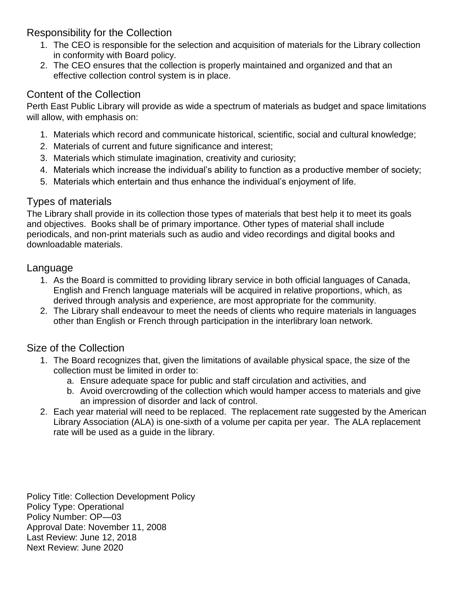## Responsibility for the Collection

- 1. The CEO is responsible for the selection and acquisition of materials for the Library collection in conformity with Board policy.
- 2. The CEO ensures that the collection is properly maintained and organized and that an effective collection control system is in place.

## Content of the Collection

Perth East Public Library will provide as wide a spectrum of materials as budget and space limitations will allow, with emphasis on:

- 1. Materials which record and communicate historical, scientific, social and cultural knowledge;
- 2. Materials of current and future significance and interest;
- 3. Materials which stimulate imagination, creativity and curiosity;
- 4. Materials which increase the individual's ability to function as a productive member of society;
- 5. Materials which entertain and thus enhance the individual's enjoyment of life.

## Types of materials

The Library shall provide in its collection those types of materials that best help it to meet its goals and objectives. Books shall be of primary importance. Other types of material shall include periodicals, and non-print materials such as audio and video recordings and digital books and downloadable materials.

## Language

- 1. As the Board is committed to providing library service in both official languages of Canada, English and French language materials will be acquired in relative proportions, which, as derived through analysis and experience, are most appropriate for the community.
- 2. The Library shall endeavour to meet the needs of clients who require materials in languages other than English or French through participation in the interlibrary loan network.

## Size of the Collection

- 1. The Board recognizes that, given the limitations of available physical space, the size of the collection must be limited in order to:
	- a. Ensure adequate space for public and staff circulation and activities, and
	- b. Avoid overcrowding of the collection which would hamper access to materials and give an impression of disorder and lack of control.
- 2. Each year material will need to be replaced. The replacement rate suggested by the American Library Association (ALA) is one-sixth of a volume per capita per year. The ALA replacement rate will be used as a guide in the library.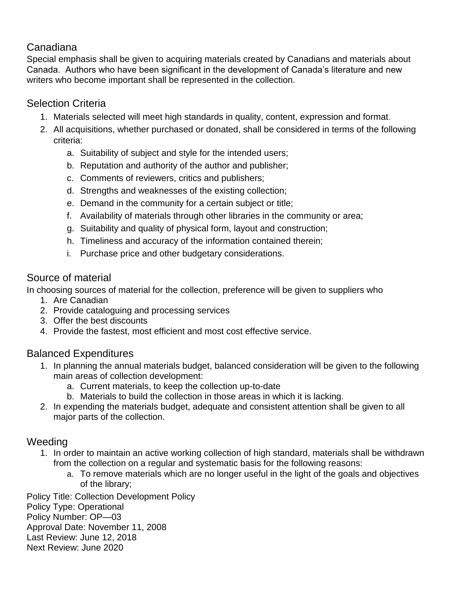## Canadiana

Special emphasis shall be given to acquiring materials created by Canadians and materials about Canada. Authors who have been significant in the development of Canada's literature and new writers who become important shall be represented in the collection.

## Selection Criteria

- 1. Materials selected will meet high standards in quality, content, expression and format.
- 2. All acquisitions, whether purchased or donated, shall be considered in terms of the following criteria:
	- a. Suitability of subject and style for the intended users;
	- b. Reputation and authority of the author and publisher;
	- c. Comments of reviewers, critics and publishers;
	- d. Strengths and weaknesses of the existing collection;
	- e. Demand in the community for a certain subject or title;
	- f. Availability of materials through other libraries in the community or area;
	- g. Suitability and quality of physical form, layout and construction;
	- h. Timeliness and accuracy of the information contained therein;
	- i. Purchase price and other budgetary considerations.

### Source of material

In choosing sources of material for the collection, preference will be given to suppliers who

- 1. Are Canadian
- 2. Provide cataloguing and processing services
- 3. Offer the best discounts
- 4. Provide the fastest, most efficient and most cost effective service.

## Balanced Expenditures

- 1. In planning the annual materials budget, balanced consideration will be given to the following main areas of collection development:
	- a. Current materials, to keep the collection up-to-date
	- b. Materials to build the collection in those areas in which it is lacking.
- 2. In expending the materials budget, adequate and consistent attention shall be given to all major parts of the collection.

#### **Weeding**

- 1. In order to maintain an active working collection of high standard, materials shall be withdrawn from the collection on a regular and systematic basis for the following reasons:
	- a. To remove materials which are no longer useful in the light of the goals and objectives of the library;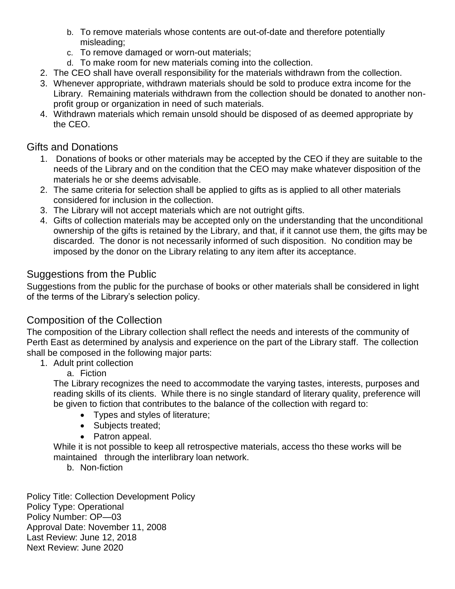- b. To remove materials whose contents are out-of-date and therefore potentially misleading;
- c. To remove damaged or worn-out materials;
- d. To make room for new materials coming into the collection.
- 2. The CEO shall have overall responsibility for the materials withdrawn from the collection.
- 3. Whenever appropriate, withdrawn materials should be sold to produce extra income for the Library. Remaining materials withdrawn from the collection should be donated to another nonprofit group or organization in need of such materials.
- 4. Withdrawn materials which remain unsold should be disposed of as deemed appropriate by the CEO.

## Gifts and Donations

- 1. Donations of books or other materials may be accepted by the CEO if they are suitable to the needs of the Library and on the condition that the CEO may make whatever disposition of the materials he or she deems advisable.
- 2. The same criteria for selection shall be applied to gifts as is applied to all other materials considered for inclusion in the collection.
- 3. The Library will not accept materials which are not outright gifts.
- 4. Gifts of collection materials may be accepted only on the understanding that the unconditional ownership of the gifts is retained by the Library, and that, if it cannot use them, the gifts may be discarded. The donor is not necessarily informed of such disposition. No condition may be imposed by the donor on the Library relating to any item after its acceptance.

## Suggestions from the Public

Suggestions from the public for the purchase of books or other materials shall be considered in light of the terms of the Library's selection policy.

## Composition of the Collection

The composition of the Library collection shall reflect the needs and interests of the community of Perth East as determined by analysis and experience on the part of the Library staff. The collection shall be composed in the following major parts:

- 1. Adult print collection
	- a. Fiction

The Library recognizes the need to accommodate the varying tastes, interests, purposes and reading skills of its clients. While there is no single standard of literary quality, preference will be given to fiction that contributes to the balance of the collection with regard to:

- Types and styles of literature;
- Subjects treated;
- Patron appeal.

While it is not possible to keep all retrospective materials, access tho these works will be maintained through the interlibrary loan network.

b. Non-fiction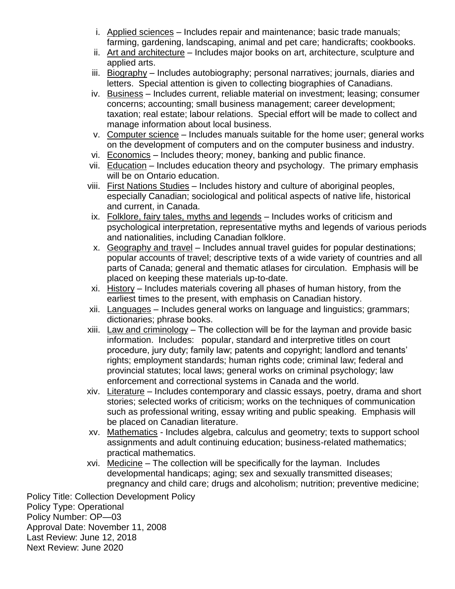- i. Applied sciences Includes repair and maintenance; basic trade manuals; farming, gardening, landscaping, animal and pet care; handicrafts; cookbooks.
- ii. Art and architecture Includes major books on art, architecture, sculpture and applied arts.
- iii. Biography Includes autobiography; personal narratives; journals, diaries and letters. Special attention is given to collecting biographies of Canadians.
- iv. Business Includes current, reliable material on investment; leasing; consumer concerns; accounting; small business management; career development; taxation; real estate; labour relations. Special effort will be made to collect and manage information about local business.
- v. Computer science Includes manuals suitable for the home user; general works on the development of computers and on the computer business and industry.
- vi. Economics Includes theory; money, banking and public finance.
- vii. Education Includes education theory and psychology. The primary emphasis will be on Ontario education.
- viii. First Nations Studies Includes history and culture of aboriginal peoples, especially Canadian; sociological and political aspects of native life, historical and current, in Canada.
- ix. Folklore, fairy tales, myths and legends Includes works of criticism and psychological interpretation, representative myths and legends of various periods and nationalities, including Canadian folklore.
- x. Geography and travel Includes annual travel guides for popular destinations; popular accounts of travel; descriptive texts of a wide variety of countries and all parts of Canada; general and thematic atlases for circulation. Emphasis will be placed on keeping these materials up-to-date.
- xi. History Includes materials covering all phases of human history, from the earliest times to the present, with emphasis on Canadian history.
- xii. Languages Includes general works on language and linguistics; grammars; dictionaries; phrase books.
- xiii. Law and criminology The collection will be for the layman and provide basic information. Includes: popular, standard and interpretive titles on court procedure, jury duty; family law; patents and copyright; landlord and tenants' rights; employment standards; human rights code; criminal law; federal and provincial statutes; local laws; general works on criminal psychology; law enforcement and correctional systems in Canada and the world.
- xiv. Literature Includes contemporary and classic essays, poetry, drama and short stories; selected works of criticism; works on the techniques of communication such as professional writing, essay writing and public speaking. Emphasis will be placed on Canadian literature.
- xv. Mathematics Includes algebra, calculus and geometry; texts to support school assignments and adult continuing education; business-related mathematics; practical mathematics.
- xvi. Medicine The collection will be specifically for the layman. Includes developmental handicaps; aging; sex and sexually transmitted diseases; pregnancy and child care; drugs and alcoholism; nutrition; preventive medicine;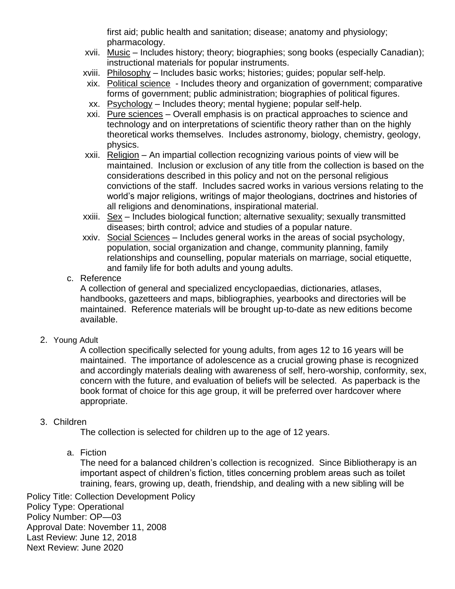first aid; public health and sanitation; disease; anatomy and physiology; pharmacology.

- xvii. Music Includes history; theory; biographies; song books (especially Canadian); instructional materials for popular instruments.
- xviii. Philosophy Includes basic works; histories; guides; popular self-help.
- xix. Political science Includes theory and organization of government; comparative forms of government; public administration; biographies of political figures.
- xx. Psychology Includes theory; mental hygiene; popular self-help.
- xxi. Pure sciences Overall emphasis is on practical approaches to science and technology and on interpretations of scientific theory rather than on the highly theoretical works themselves. Includes astronomy, biology, chemistry, geology, physics.
- xxii. Religion An impartial collection recognizing various points of view will be maintained. Inclusion or exclusion of any title from the collection is based on the considerations described in this policy and not on the personal religious convictions of the staff. Includes sacred works in various versions relating to the world's major religions, writings of major theologians, doctrines and histories of all religions and denominations, inspirational material.
- xxiii. Sex Includes biological function; alternative sexuality; sexually transmitted diseases; birth control; advice and studies of a popular nature.
- xxiv. Social Sciences Includes general works in the areas of social psychology, population, social organization and change, community planning, family relationships and counselling, popular materials on marriage, social etiquette, and family life for both adults and young adults.
- c. Reference

A collection of general and specialized encyclopaedias, dictionaries, atlases, handbooks, gazetteers and maps, bibliographies, yearbooks and directories will be maintained. Reference materials will be brought up-to-date as new editions become available.

2. Young Adult

A collection specifically selected for young adults, from ages 12 to 16 years will be maintained. The importance of adolescence as a crucial growing phase is recognized and accordingly materials dealing with awareness of self, hero-worship, conformity, sex, concern with the future, and evaluation of beliefs will be selected. As paperback is the book format of choice for this age group, it will be preferred over hardcover where appropriate.

#### 3. Children

The collection is selected for children up to the age of 12 years.

a. Fiction

The need for a balanced children's collection is recognized. Since Bibliotherapy is an important aspect of children's fiction, titles concerning problem areas such as toilet training, fears, growing up, death, friendship, and dealing with a new sibling will be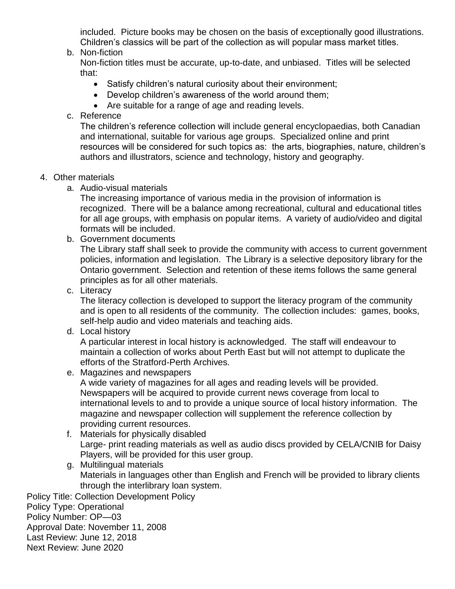included. Picture books may be chosen on the basis of exceptionally good illustrations. Children's classics will be part of the collection as will popular mass market titles.

b. Non-fiction

Non-fiction titles must be accurate, up-to-date, and unbiased. Titles will be selected that:

- Satisfy children's natural curiosity about their environment;
- Develop children's awareness of the world around them;
- Are suitable for a range of age and reading levels.
- c. Reference

The children's reference collection will include general encyclopaedias, both Canadian and international, suitable for various age groups. Specialized online and print resources will be considered for such topics as: the arts, biographies, nature, children's authors and illustrators, science and technology, history and geography.

#### 4. Other materials

a. Audio-visual materials

The increasing importance of various media in the provision of information is recognized. There will be a balance among recreational, cultural and educational titles for all age groups, with emphasis on popular items. A variety of audio/video and digital formats will be included.

b. Government documents

The Library staff shall seek to provide the community with access to current government policies, information and legislation. The Library is a selective depository library for the Ontario government. Selection and retention of these items follows the same general principles as for all other materials.

c. Literacy

The literacy collection is developed to support the literacy program of the community and is open to all residents of the community. The collection includes: games, books, self-help audio and video materials and teaching aids.

d. Local history

A particular interest in local history is acknowledged. The staff will endeavour to maintain a collection of works about Perth East but will not attempt to duplicate the efforts of the Stratford-Perth Archives.

e. Magazines and newspapers

A wide variety of magazines for all ages and reading levels will be provided. Newspapers will be acquired to provide current news coverage from local to international levels to and to provide a unique source of local history information. The magazine and newspaper collection will supplement the reference collection by providing current resources.

- f. Materials for physically disabled Large- print reading materials as well as audio discs provided by CELA/CNIB for Daisy Players, will be provided for this user group.
- g. Multilingual materials Materials in languages other than English and French will be provided to library clients through the interlibrary loan system.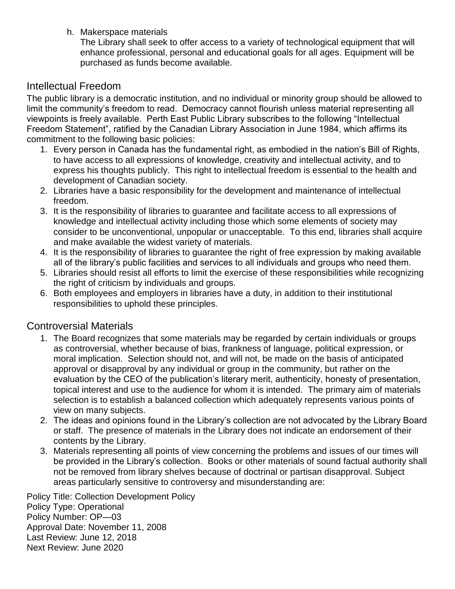h. Makerspace materials

The Library shall seek to offer access to a variety of technological equipment that will enhance professional, personal and educational goals for all ages. Equipment will be purchased as funds become available.

#### Intellectual Freedom

The public library is a democratic institution, and no individual or minority group should be allowed to limit the community's freedom to read. Democracy cannot flourish unless material representing all viewpoints is freely available. Perth East Public Library subscribes to the following "Intellectual Freedom Statement", ratified by the Canadian Library Association in June 1984, which affirms its commitment to the following basic policies:

- 1. Every person in Canada has the fundamental right, as embodied in the nation's Bill of Rights, to have access to all expressions of knowledge, creativity and intellectual activity, and to express his thoughts publicly. This right to intellectual freedom is essential to the health and development of Canadian society.
- 2. Libraries have a basic responsibility for the development and maintenance of intellectual freedom.
- 3. It is the responsibility of libraries to guarantee and facilitate access to all expressions of knowledge and intellectual activity including those which some elements of society may consider to be unconventional, unpopular or unacceptable. To this end, libraries shall acquire and make available the widest variety of materials.
- 4. It is the responsibility of libraries to guarantee the right of free expression by making available all of the library's public facilities and services to all individuals and groups who need them.
- 5. Libraries should resist all efforts to limit the exercise of these responsibilities while recognizing the right of criticism by individuals and groups.
- 6. Both employees and employers in libraries have a duty, in addition to their institutional responsibilities to uphold these principles.

#### Controversial Materials

- 1. The Board recognizes that some materials may be regarded by certain individuals or groups as controversial, whether because of bias, frankness of language, political expression, or moral implication. Selection should not, and will not, be made on the basis of anticipated approval or disapproval by any individual or group in the community, but rather on the evaluation by the CEO of the publication's literary merit, authenticity, honesty of presentation, topical interest and use to the audience for whom it is intended. The primary aim of materials selection is to establish a balanced collection which adequately represents various points of view on many subjects.
- 2. The ideas and opinions found in the Library's collection are not advocated by the Library Board or staff. The presence of materials in the Library does not indicate an endorsement of their contents by the Library.
- 3. Materials representing all points of view concerning the problems and issues of our times will be provided in the Library's collection. Books or other materials of sound factual authority shall not be removed from library shelves because of doctrinal or partisan disapproval. Subject areas particularly sensitive to controversy and misunderstanding are: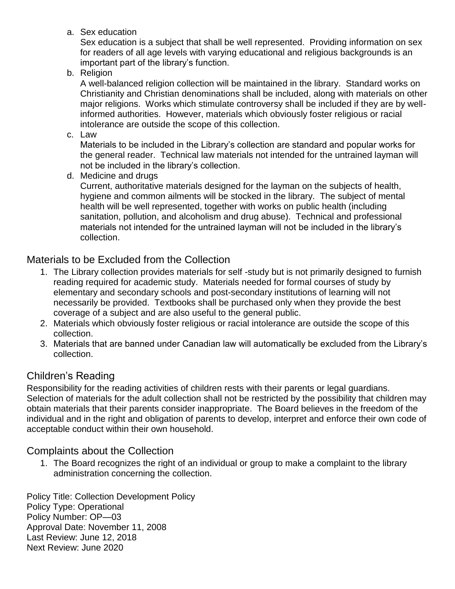a. Sex education

Sex education is a subject that shall be well represented. Providing information on sex for readers of all age levels with varying educational and religious backgrounds is an important part of the library's function.

b. Religion

A well-balanced religion collection will be maintained in the library. Standard works on Christianity and Christian denominations shall be included, along with materials on other major religions. Works which stimulate controversy shall be included if they are by wellinformed authorities. However, materials which obviously foster religious or racial intolerance are outside the scope of this collection.

c. Law

Materials to be included in the Library's collection are standard and popular works for the general reader. Technical law materials not intended for the untrained layman will not be included in the library's collection.

d. Medicine and drugs

Current, authoritative materials designed for the layman on the subjects of health, hygiene and common ailments will be stocked in the library. The subject of mental health will be well represented, together with works on public health (including sanitation, pollution, and alcoholism and drug abuse). Technical and professional materials not intended for the untrained layman will not be included in the library's collection.

## Materials to be Excluded from the Collection

- 1. The Library collection provides materials for self -study but is not primarily designed to furnish reading required for academic study. Materials needed for formal courses of study by elementary and secondary schools and post-secondary institutions of learning will not necessarily be provided. Textbooks shall be purchased only when they provide the best coverage of a subject and are also useful to the general public.
- 2. Materials which obviously foster religious or racial intolerance are outside the scope of this collection.
- 3. Materials that are banned under Canadian law will automatically be excluded from the Library's collection.

## Children's Reading

Responsibility for the reading activities of children rests with their parents or legal guardians. Selection of materials for the adult collection shall not be restricted by the possibility that children may obtain materials that their parents consider inappropriate. The Board believes in the freedom of the individual and in the right and obligation of parents to develop, interpret and enforce their own code of acceptable conduct within their own household.

## Complaints about the Collection

1. The Board recognizes the right of an individual or group to make a complaint to the library administration concerning the collection.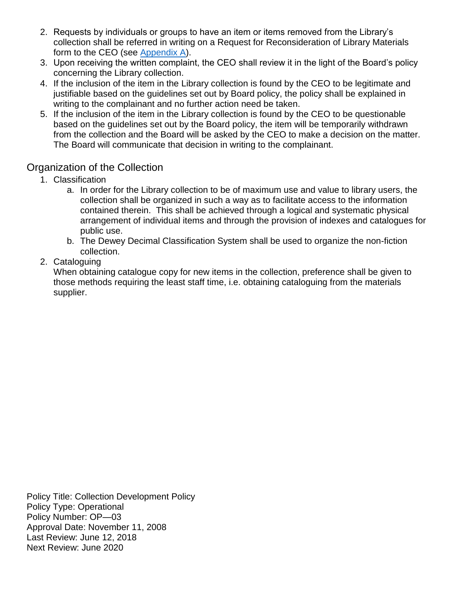- 2. Requests by individuals or groups to have an item or items removed from the Library's collection shall be referred in writing on a Request for Reconsideration of Library Materials form to the CEO (see [Appendix A\)](#page-10-0).
- 3. Upon receiving the written complaint, the CEO shall review it in the light of the Board's policy concerning the Library collection.
- 4. If the inclusion of the item in the Library collection is found by the CEO to be legitimate and justifiable based on the guidelines set out by Board policy, the policy shall be explained in writing to the complainant and no further action need be taken.
- 5. If the inclusion of the item in the Library collection is found by the CEO to be questionable based on the guidelines set out by the Board policy, the item will be temporarily withdrawn from the collection and the Board will be asked by the CEO to make a decision on the matter. The Board will communicate that decision in writing to the complainant.

### Organization of the Collection

- 1. Classification
	- a. In order for the Library collection to be of maximum use and value to library users, the collection shall be organized in such a way as to facilitate access to the information contained therein. This shall be achieved through a logical and systematic physical arrangement of individual items and through the provision of indexes and catalogues for public use.
	- b. The Dewey Decimal Classification System shall be used to organize the non-fiction collection.
- 2. Cataloguing

When obtaining catalogue copy for new items in the collection, preference shall be given to those methods requiring the least staff time, i.e. obtaining cataloguing from the materials supplier.